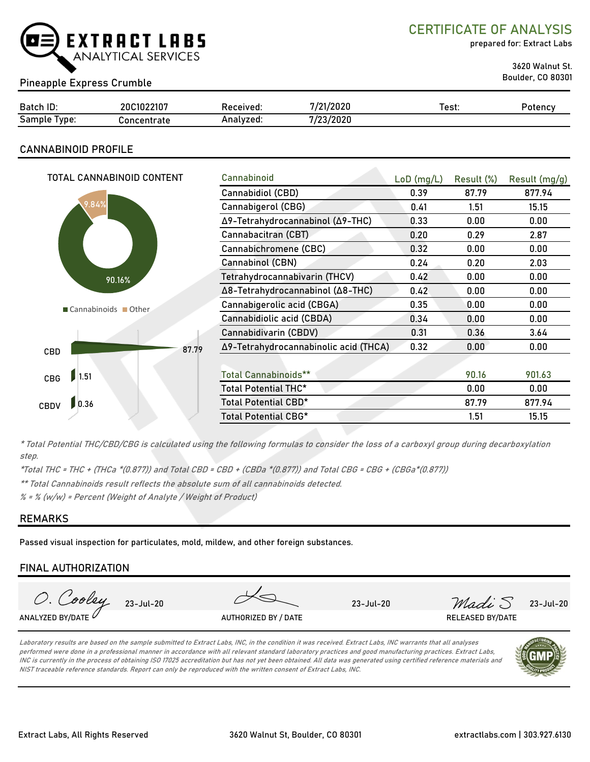

CERTIFICATE OF ANALYSIS

prepared for: Extract Labs

3620 Walnut St.

Boulder, CO 80301 Pineapple Express Crumble

| Batch ID:       | 20C1022107         | Received: | 7/21/2020 | Test: | Potency |
|-----------------|--------------------|-----------|-----------|-------|---------|
| Sample<br>lype: | <b>Concentrate</b> | Analyzed: | 7/23/2020 |       |         |

# CANNABINOID PROFILE

| TOTAL CANNABINOID CONTENT | Cannabinoid                           | $LoD$ (mg/L) | Result (%) | Result (mg/g) |
|---------------------------|---------------------------------------|--------------|------------|---------------|
|                           | Cannabidiol (CBD)                     | 0.39         | 87.79      | 877.94        |
| 9.84%                     | Cannabigerol (CBG)                    | 0.41         | 1.51       | 15.15         |
|                           | Δ9-Tetrahydrocannabinol (Δ9-THC)      | 0.33         | 0.00       | 0.00          |
|                           | Cannabacitran (CBT)                   | 0.20         | 0.29       | 2.87          |
|                           | Cannabichromene (CBC)                 | 0.32         | 0.00       | 0.00          |
|                           | Cannabinol (CBN)                      | 0.24         | 0.20       | 2.03          |
| 90.16%                    | Tetrahydrocannabivarin (THCV)         | 0.42         | 0.00       | 0.00          |
|                           | Δ8-Tetrahydrocannabinol (Δ8-THC)      | 0.42         | 0.00       | 0.00          |
| Cannabinoids Other        | Cannabigerolic acid (CBGA)            | 0.35         | 0.00       | 0.00          |
|                           | Cannabidiolic acid (CBDA)             | 0.34         | 0.00       | 0.00          |
|                           | Cannabidivarin (CBDV)                 | 0.31         | 0.36       | 3.64          |
| 87.79<br>CBD              | Δ9-Tetrahydrocannabinolic acid (THCA) | 0.32         | 0.00       | 0.00          |
|                           |                                       |              |            |               |
| 1.51<br>CBG               | <b>Total Cannabinoids**</b>           |              | 90.16      | 901.63        |
|                           | Total Potential THC*                  |              | 0.00       | 0.00          |
| 0.36<br>CBDV              | Total Potential CBD*                  |              | 87.79      | 877.94        |
|                           | Total Potential CBG*                  |              | 1.51       | 15.15         |

\* Total Potential THC/CBD/CBG is calculated using the following formulas to consider the loss of a carboxyl group during decarboxylation step.

\*Total THC = THC + (THCa \*(0.877)) and Total CBD = CBD + (CBDa \*(0.877)) and Total CBG = CBG + (CBGa\*(0.877))

\*\* Total Cannabinoids result reflects the absolute sum of all cannabinoids detected.

 $% =$  % (w/w) = Percent (Weight of Analyte / Weight of Product)

## REMARKS

Passed visual inspection for particulates, mold, mildew, and other foreign substances.

## FINAL AUTHORIZATION



Laboratory results are based on the sample submitted to Extract Labs, INC, in the condition it was received. Extract Labs, INC warrants that all analyses performed were done in a professional manner in accordance with all relevant standard laboratory practices and good manufacturing practices. Extract Labs, INC is currently in the process of obtaining ISO 17025 accreditation but has not yet been obtained. All data was generated using certified reference materials and NIST traceable reference standards. Report can only be reproduced with the written consent of Extract Labs, INC.

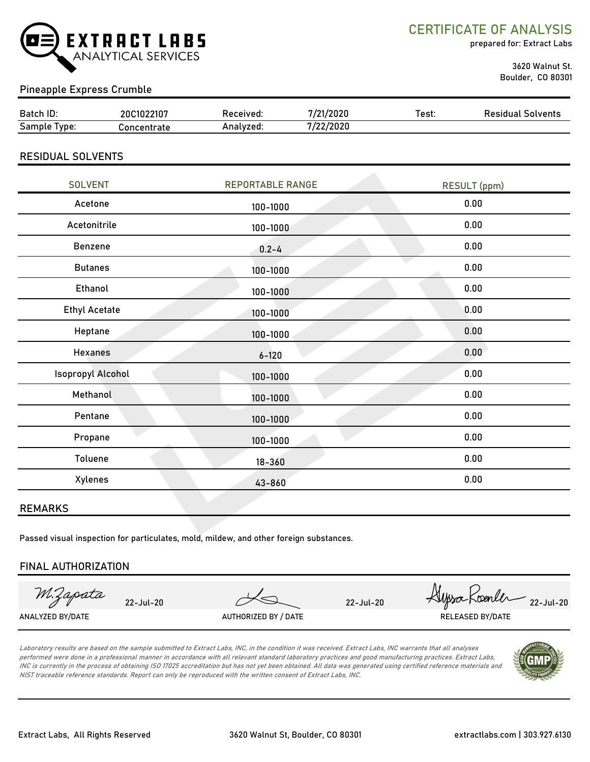

CERTIFICATE OF ANALYSIS

prepared for: Extract Labs

 3620 Walnut St. Boulder, CO 80301

# Pineapple Express Crumble

| Batch ID:       | 20C1022107  | ?eceïved: | /21/2020             | ⊺est: | Solvents<br>Residual |
|-----------------|-------------|-----------|----------------------|-------|----------------------|
| Sample<br>'vpe. | `oncentrate | Analvzed. | חרחר/ רי<br>72272020 |       |                      |

#### RESIDUAL SOLVENTS

| <b>SOLVENT</b>       | <b>REPORTABLE RANGE</b> | <b>RESULT (ppm)</b> |
|----------------------|-------------------------|---------------------|
| Acetone              | 100-1000                | 0.00                |
| Acetonitrile         | 100-1000                | 0.00                |
| Benzene              | $0.2 - 4$               | 0.00                |
| <b>Butanes</b>       | 100-1000                | 0.00                |
| Ethanol              | 100-1000                | 0.00                |
| <b>Ethyl Acetate</b> | 100-1000                | 0.00                |
| Heptane              | 100-1000                | 0.00                |
| <b>Hexanes</b>       | $6 - 120$               | 0.00                |
| Isopropyl Alcohol    | 100-1000                | 0.00                |
| Methanol             | 100-1000                | 0.00                |
| Pentane              | 100-1000                | 0.00                |
| Propane              | 100-1000                | 0.00                |
| Toluene              | $18 - 360$              | 0.00                |
| Xylenes              | 43-860                  | 0.00                |
|                      |                         |                     |

#### REMARKS

Passed visual inspection for particulates, mold, mildew, and other foreign substances.

#### FINAL AUTHORIZATION

M.Zapata

ANALYZED BY/DATE AUTHORIZED BY / DATE AUTHORIZED BY / DATE RELEASED BY/DATE

22-Jul-20 22-Jul-20 Alpso Koenler 22-Jul-20

Laboratory results are based on the sample submitted to Extract Labs, INC, in the condition it was received. Extract Labs, INC warrants that all analyses performed were done in a professional manner in accordance with all relevant standard laboratory practices and good manufacturing practices. Extract Labs, INC is currently in the process of obtaining ISO 17025 accreditation but has not yet been obtained. All data was generated using certified reference materials and NIST traceable reference standards. Report can only be reproduced with the written consent of Extract Labs, INC.